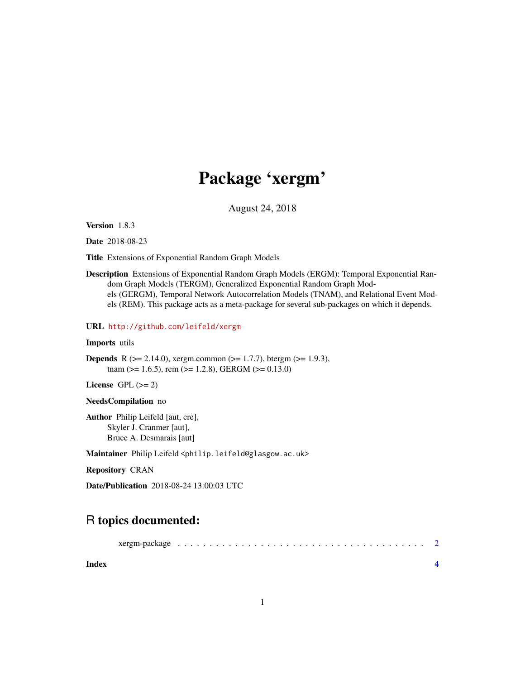## Package 'xergm'

August 24, 2018

Version 1.8.3

Date 2018-08-23

Title Extensions of Exponential Random Graph Models

Description Extensions of Exponential Random Graph Models (ERGM): Temporal Exponential Random Graph Models (TERGM), Generalized Exponential Random Graph Models (GERGM), Temporal Network Autocorrelation Models (TNAM), and Relational Event Models (REM). This package acts as a meta-package for several sub-packages on which it depends.

URL <http://github.com/leifeld/xergm>

#### Imports utils

**Depends** R ( $>= 2.14.0$ ), xergm.common ( $>= 1.7.7$ ), btergm ( $>= 1.9.3$ ), tnam ( $>= 1.6.5$ ), rem ( $>= 1.2.8$ ), GERGM ( $>= 0.13.0$ )

License GPL  $(>= 2)$ 

NeedsCompilation no

Author Philip Leifeld [aut, cre], Skyler J. Cranmer [aut], Bruce A. Desmarais [aut]

Maintainer Philip Leifeld <philip.leifeld@glasgow.ac.uk>

Repository CRAN

Date/Publication 2018-08-24 13:00:03 UTC

### R topics documented:

| Index |  |  |  |  |  |  |  |  |  |  |  |  |  |  |  |
|-------|--|--|--|--|--|--|--|--|--|--|--|--|--|--|--|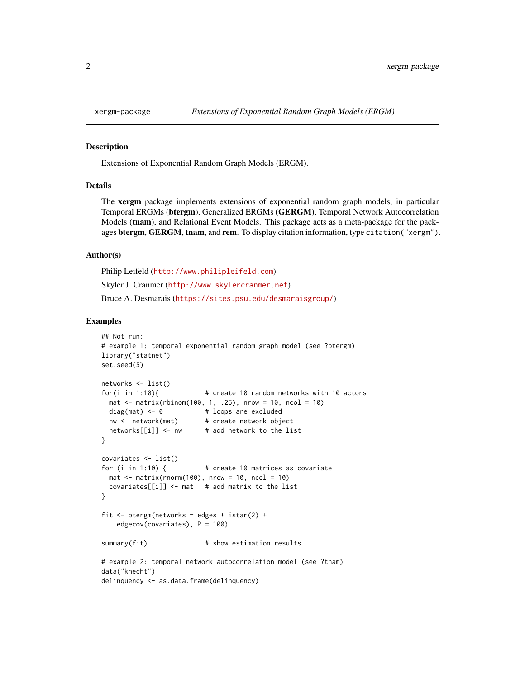#### **Description**

Extensions of Exponential Random Graph Models (ERGM).

#### Details

The xergm package implements extensions of exponential random graph models, in particular Temporal ERGMs (btergm), Generalized ERGMs (GERGM), Temporal Network Autocorrelation Models (tnam), and Relational Event Models. This package acts as a meta-package for the packages btergm, GERGM, tnam, and rem. To display citation information, type citation ("xergm").

#### Author(s)

Philip Leifeld (<http://www.philipleifeld.com>) Skyler J. Cranmer (<http://www.skylercranmer.net>) Bruce A. Desmarais (<https://sites.psu.edu/desmaraisgroup/>)

#### Examples

```
## Not run:
# example 1: temporal exponential random graph model (see ?btergm)
library("statnet")
set.seed(5)
networks <- list()
for(i in 1:10){ \# create 10 random networks with 10 actors
 mat \le matrix(rbinom(100, 1, .25), nrow = 10, ncol = 10)
 diag(mat) \leq -\theta # loops are excluded
 nw <- network(mat) # create network object
 networks[[i]] \leftarrow nw # add network to the list
}
covariates <- list()
for (i in 1:10) { # create 10 matrices as covariate
 mat \leq matrix(rnorm(100), nrow = 10, ncol = 10)
 covariates[[i]] \leq mat # add matrix to the list
}
fit <- btergm(networks ~ edges + istar(2) +
    edgecov(covariates), R = 100)
summary(fit) # show estimation results
# example 2: temporal network autocorrelation model (see ?tnam)
data("knecht")
delinquency <- as.data.frame(delinquency)
```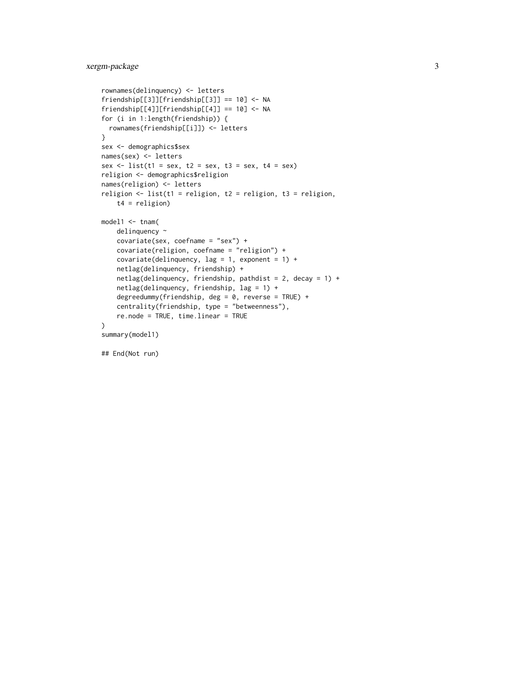```
rownames(delinquency) <- letters
friendship[[3]][friendship[[3]] == 10] <- NA
friendship[[4]][friendship[[4]] == 10] <- NA
for (i in 1:length(friendship)) {
  rownames(friendship[[i]]) <- letters
}
sex <- demographics$sex
names(sex) <- letters
sex \le list(t1 = sex, t2 = sex, t3 = sex, t4 = sex)
religion <- demographics$religion
names(religion) <- letters
religion \le list(t1 = religion, t2 = religion, t3 = religion,
    t4 = religion)
model1 <- tnam(
   delinquency ~
    covariate(sex, coefname = "sex") +
    covariate(religion, coefname = "religion") +
    covariate(delinquency, lag = 1, exponent = 1) +
   netlag(delinquency, friendship) +
   netlag(delinquency, friendship, pathdist = 2, decay = 1) +
   netlag(delinquency, friendship, lag = 1) +
    degreedummy(friendship, deg = 0, reverse = TRUE) +
   centrality(friendship, type = "betweenness"),
   re.node = TRUE, time.linear = TRUE
)
summary(model1)
```
## End(Not run)